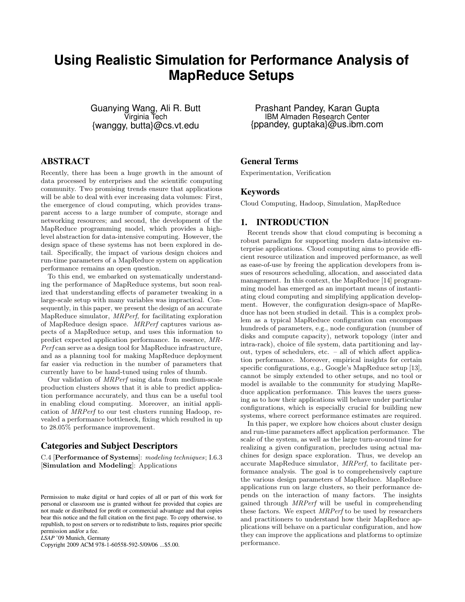# **Using Realistic Simulation for Performance Analysis of MapReduce Setups**

Guanying Wang, Ali R. Butt Virginia Tech {wanggy, butta}@cs.vt.edu

# **ABSTRACT**

Recently, there has been a huge growth in the amount of data processed by enterprises and the scientific computing community. Two promising trends ensure that applications will be able to deal with ever increasing data volumes: First, the emergence of cloud computing, which provides transparent access to a large number of compute, storage and networking resources; and second, the development of the MapReduce programming model, which provides a highlevel abstraction for data-intensive computing. However, the design space of these systems has not been explored in detail. Specifically, the impact of various design choices and run-time parameters of a MapReduce system on application performance remains an open question.

To this end, we embarked on systematically understanding the performance of MapReduce systems, but soon realized that understanding effects of parameter tweaking in a large-scale setup with many variables was impractical. Consequently, in this paper, we present the design of an accurate MapReduce simulator, *MRPerf*, for facilitating exploration of MapReduce design space. *MRPerf* captures various aspects of a MapReduce setup, and uses this information to predict expected application performance. In essence, *MR-Perf* can serve as a design tool for MapReduce infrastructure, and as a planning tool for making MapReduce deployment far easier via reduction in the number of parameters that currently have to be hand-tuned using rules of thumb.

Our validation of *MRPerf* using data from medium-scale production clusters shows that it is able to predict application performance accurately, and thus can be a useful tool in enabling cloud computing. Moreover, an initial application of *MRPerf* to our test clusters running Hadoop, revealed a performance bottleneck, fixing which resulted in up to 28.05% performance improvement.

## **Categories and Subject Descriptors**

C.4 [Performance of Systems]: *modeling techniques*; I.6.3 [Simulation and Modeling]: Applications

*LSAP* '09 Munich, Germany

Copyright 2009 ACM 978-1-60558-592-5/09/06 ...\$5.00.

Prashant Pandey, Karan Gupta IBM Almaden Research Center {ppandey, guptaka}@us.ibm.com

# **General Terms**

Experimentation, Verification

#### **Keywords**

Cloud Computing, Hadoop, Simulation, MapReduce

### **1. INTRODUCTION**

Recent trends show that cloud computing is becoming a robust paradigm for supporting modern data-intensive enterprise applications. Cloud computing aims to provide efficient resource utilization and improved performance, as well as ease-of-use by freeing the application developers from issues of resources scheduling, allocation, and associated data management. In this context, the MapReduce [14] programming model has emerged as an important means of instantiating cloud computing and simplifying application development. However, the configuration design-space of MapReduce has not been studied in detail. This is a complex problem as a typical MapReduce configuration can encompass hundreds of parameters, e.g., node configuration (number of disks and compute capacity), network topology (inter and intra-rack), choice of file system, data partitioning and layout, types of schedulers, etc. – all of which affect application performance. Moreover, empirical insights for certain specific configurations, e.g., Google's MapReduce setup [13], cannot be simply extended to other setups, and no tool or model is available to the community for studying MapReduce application performance. This leaves the users guessing as to how their applications will behave under particular configurations, which is especially crucial for building new systems, where correct performance estimates are required.

In this paper, we explore how choices about cluster design and run-time parameters affect application performance. The scale of the system, as well as the large turn-around time for realizing a given configuration, precludes using actual machines for design space exploration. Thus, we develop an accurate MapReduce simulator, *MRPerf*, to facilitate performance analysis. The goal is to comprehensively capture the various design parameters of MapReduce. MapReduce applications run on large clusters, so their performance depends on the interaction of many factors. The insights gained through *MRPerf* will be useful in comprehending these factors. We expect *MRPerf* to be used by researchers and practitioners to understand how their MapReduce applications will behave on a particular configuration, and how they can improve the applications and platforms to optimize performance.

Permission to make digital or hard copies of all or part of this work for personal or classroom use is granted without fee provided that copies are not made or distributed for profit or commercial advantage and that copies bear this notice and the full citation on the first page. To copy otherwise, to republish, to post on servers or to redistribute to lists, requires prior specific permission and/or a fee.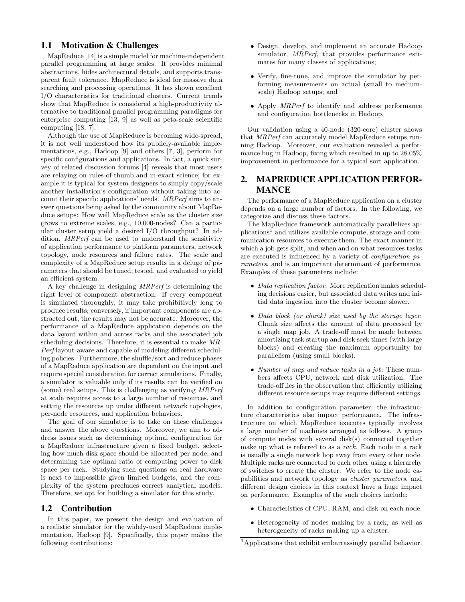# **1.1 Motivation & Challenges**

MapReduce [14] is a simple model for machine-independent parallel programming at large scales. It provides minimal abstractions, hides architectural details, and supports transparent fault tolerance. MapReduce is ideal for massive data searching and processing operations. It has shown excellent I/O characteristics for traditional clusters. Current trends show that MapReduce is considered a high-productivity alternative to traditional parallel programming paradigms for enterprise computing [13, 9] as well as peta-scale scientific computing [18, 7].

Although the use of MapReduce is becoming wide-spread, it is not well understood how its publicly-available implementations, e.g., Hadoop [9] and others [7, 3], perform for specific configurations and applications. In fact, a quick survey of related discussion forums [4] reveals that most users are relaying on rules-of-thumb and in-exact science; for example it is typical for system designers to simply copy/scale another installation's configuration without taking into account their specific applications' needs. *MRPerf* aims to answer questions being asked by the community about MapReduce setups: How well MapReduce scale as the cluster size grows to extreme scales, e.g., 10,000-nodes? Can a particular cluster setup yield a desired I/O throughput? In addition, *MRPerf* can be used to understand the sensitivity of application performance to platform parameters, network topology, node resources and failure rates. The scale and complexity of a MapReduce setup results in a deluge of parameters that should be tuned, tested, and evaluated to yield an efficient system.

A key challenge in designing *MRPerf* is determining the right level of component abstraction: If every component is simulated thoroughly, it may take prohibitively long to produce results; conversely, if important components are abstracted out, the results may not be accurate. Moreover, the performance of a MapReduce application depends on the data layout within and across racks and the associated job scheduling decisions. Therefore, it is essential to make *MR-Perf* layout-aware and capable of modeling different scheduling policies. Furthermore, the shuffle/sort and reduce phases of a MapReduce application are dependent on the input and require special consideration for correct simulations. Finally, a simulator is valuable only if its results can be verified on (some) real setups. This is challenging as verifying *MRPerf* at scale requires access to a large number of resources, and setting the resources up under different network topologies, per-node resources, and application behaviors.

The goal of our simulator is to take on these challenges and answer the above questions. Moreover, we aim to address issues such as determining optimal configuration for a MapReduce infrastructure given a fixed budget, selecting how much disk space should be allocated per node, and determining the optimal ratio of computing power to disk space per rack. Studying such questions on real hardware is next to impossible given limited budgets, and the complexity of the system precludes correct analytical models. Therefore, we opt for building a simulator for this study.

#### **1.2 Contribution**

In this paper, we present the design and evaluation of a realistic simulator for the widely-used MapReduce implementation, Hadoop [9]. Specifically, this paper makes the following contributions:

- Design, develop, and implement an accurate Hadoop simulator, *MRPerf*, that provides performance estimates for many classes of applications;
- Verify, fine-tune, and improve the simulator by performing measurements on actual (small to mediumscale) Hadoop setups; and
- Apply *MRPerf* to identify and address performance and configuration bottlenecks in Hadoop.

Our validation using a 40-node (320-core) cluster shows that *MRPerf* can accurately model MapReduce setups running Hadoop. Moreover, our evaluation revealed a performance bug in Hadoop, fixing which resulted in up to 28.05% improvement in performance for a typical sort application.

# **2. MAPREDUCE APPLICATION PERFOR-MANCE**

The performance of a MapReduce application on a cluster depends on a large number of factors. In the following, we categorize and discuss these factors.

The MapReduce framework automatically parallelizes applications<sup>1</sup> and utilizes available compute, storage and communication resources to execute them. The exact manner in which a job gets split, and when and on what resources tasks are executed is influenced by a variety of *configuration parameters*, and is an important determinant of performance. Examples of these parameters include:

- *Data replication factor*: More replication makes scheduling decisions easier, but associated data writes and initial data ingestion into the cluster become slower.
- *Data block (or chunk) size used by the storage layer*: Chunk size affects the amount of data processed by a single map job. A trade-off must be made between amortizing task startup and disk seek times (with large blocks) and creating the maximum opportunity for parallelism (using small blocks).
- *Number of map and reduce tasks in a job*: These numbers affects CPU, network and disk utilization. The trade-off lies in the observation that efficiently utilizing different resource setups may require different settings.

In addition to configuration parameter, the infrastructure characteristics also impact performance. The infrastructure on which MapReduce executes typically involves a large number of machines arranged as follows. A group of compute nodes with several disk(s) connected together make up what is referred to as a *rack*. Each node in a rack is usually a single network hop away from every other node. Multiple racks are connected to each other using a hierarchy of switches to create the cluster. We refer to the node capabilities and network topology as *cluster parameters*, and different design choices in this context have a huge impact on performance. Examples of the such choices include:

- Characteristics of CPU, RAM, and disk on each node.
- Heterogeneity of nodes making by a rack, as well as heterogeneity of racks making up a cluster.

<sup>&</sup>lt;sup>1</sup>Applications that exhibit embarrassingly parallel behavior.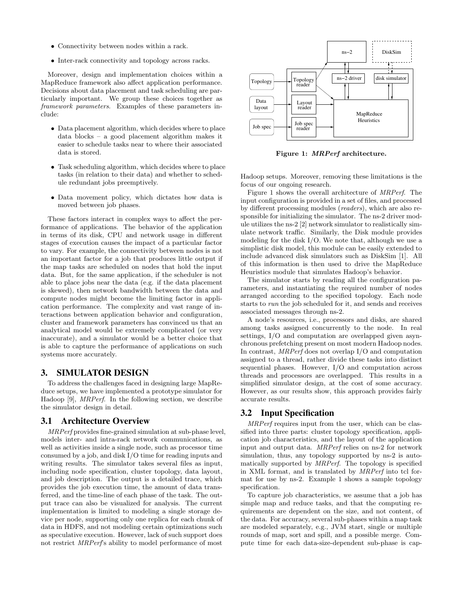- Connectivity between nodes within a rack.
- Inter-rack connectivity and topology across racks.

Moreover, design and implementation choices within a MapReduce framework also affect application performance. Decisions about data placement and task scheduling are particularly important. We group these choices together as *framework parameters*. Examples of these parameters include:

- Data placement algorithm, which decides where to place data blocks – a good placement algorithm makes it easier to schedule tasks near to where their associated data is stored.
- Task scheduling algorithm, which decides where to place tasks (in relation to their data) and whether to schedule redundant jobs preemptively.
- Data movement policy, which dictates how data is moved between job phases.

These factors interact in complex ways to affect the performance of applications. The behavior of the application in terms of its disk, CPU and network usage in different stages of execution causes the impact of a particular factor to vary. For example, the connectivity between nodes is not an important factor for a job that produces little output if the map tasks are scheduled on nodes that hold the input data. But, for the same application, if the scheduler is not able to place jobs near the data (e.g. if the data placement is skewed), then network bandwidth between the data and compute nodes might become the limiting factor in application performance. The complexity and vast range of interactions between application behavior and configuration, cluster and framework parameters has convinced us that an analytical model would be extremely complicated (or very inaccurate), and a simulator would be a better choice that is able to capture the performance of applications on such systems more accurately.

### **3. SIMULATOR DESIGN**

To address the challenges faced in designing large MapReduce setups, we have implemented a prototype simulator for Hadoop [9], *MRPerf*. In the following section, we describe the simulator design in detail.

## **3.1 Architecture Overview**

*MRPerf* provides fine-grained simulation at sub-phase level, models inter- and intra-rack network communications, as well as activities inside a single node, such as processor time consumed by a job, and disk I/O time for reading inputs and writing results. The simulator takes several files as input, including node specification, cluster topology, data layout, and job description. The output is a detailed trace, which provides the job execution time, the amount of data transferred, and the time-line of each phase of the task. The output trace can also be visualized for analysis. The current implementation is limited to modeling a single storage device per node, supporting only one replica for each chunk of data in HDFS, and not modeling certain optimizations such as speculative execution. However, lack of such support does not restrict *MRPerf*'s ability to model performance of most



Figure 1: MRPerf architecture.

Hadoop setups. Moreover, removing these limitations is the focus of our ongoing research.

Figure 1 shows the overall architecture of *MRPerf*. The input configuration is provided in a set of files, and processed by different processing modules (*readers*), which are also responsible for initializing the simulator. The ns-2 driver module utilizes the ns-2 [2] network simulator to realistically simulate network traffic. Similarly, the Disk module provides modeling for the disk I/O. We note that, although we use a simplistic disk model, this module can be easily extended to include advanced disk simulators such as DiskSim [1]. All of this information is then used to drive the MapReduce Heuristics module that simulates Hadoop's behavior.

The simulator starts by reading all the configuration parameters, and instantiating the required number of nodes arranged according to the specified topology. Each node starts to *run* the job scheduled for it, and sends and receives associated messages through ns-2.

A node's resources, i.e., processors and disks, are shared among tasks assigned concurrently to the node. In real settings, I/O and computation are overlapped given asynchronous prefetching present on most modern Hadoop nodes. In contrast, *MRPerf* does not overlap I/O and computation assigned to a thread, rather divide these tasks into distinct sequential phases. However, I/O and computation across threads and processors are overlapped. This results in a simplified simulator design, at the cost of some accuracy. However, as our results show, this approach provides fairly accurate results.

## **3.2 Input Specification**

*MRPerf* requires input from the user, which can be classified into three parts: cluster topology specification, application job characteristics, and the layout of the application input and output data. *MRPerf* relies on ns-2 for network simulation, thus, any topology supported by ns-2 is automatically supported by *MRPerf*. The topology is specified in XML format, and is translated by *MRPerf* into tcl format for use by ns-2. Example 1 shows a sample topology specification.

To capture job characteristics, we assume that a job has simple map and reduce tasks, and that the computing requirements are dependent on the size, and not content, of the data. For accuracy, several sub-phases within a map task are modeled separately, e.g., JVM start, single or multiple rounds of map, sort and spill, and a possible merge. Compute time for each data-size-dependent sub-phase is cap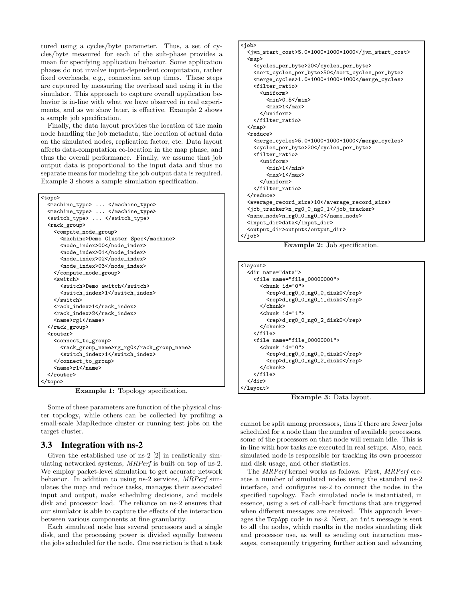tured using a cycles/byte parameter. Thus, a set of cycles/byte measured for each of the sub-phase provides a mean for specifying application behavior. Some application phases do not involve input-dependent computation, rather fixed overheads, e.g., connection setup times. These steps are captured by measuring the overhead and using it in the simulator. This approach to capture overall application behavior is in-line with what we have observed in real experiments, and as we show later, is effective. Example 2 shows a sample job specification.

Finally, the data layout provides the location of the main node handling the job metadata, the location of actual data on the simulated nodes, replication factor, etc. Data layout affects data-computation co-location in the map phase, and thus the overall performance. Finally, we assume that job output data is proportional to the input data and thus no separate means for modeling the job output data is required. Example 3 shows a sample simulation specification.

<topo>

```
<machine_type> ... </machine_type>
 <machine_type> ... </machine_type>
 <switch_type> ... </switch_type>
 <rack_group>
   <compute_node_group>
     <machine>Demo Cluster Spec</machine>
     <node_index>00</node_index>
     <node_index>01</node_index>
     <node_index>02</node_index>
     <node_index>03</node_index>
   </compute_node_group>
   <switch>
     <switch>Demo switch</switch>
      <switch_index>1</switch_index>
   </switch>
   <rack_index>1</rack_index>
   <rack_index>2</rack_index>
   <name>rg1</name>
 </rack_group>
 <router>
   <connect_to_group>
     <rack_group_name>rg_rg0</rack_group_name>
     <switch_index>1</switch_index>
   </connect_to_group>
   <name>r1</name>
 </router>
</topo>
```
Example 1: Topology specification.

Some of these parameters are function of the physical cluster topology, while others can be collected by profiling a small-scale MapReduce cluster or running test jobs on the target cluster.

#### **3.3 Integration with ns-2**

Given the established use of ns-2 [2] in realistically simulating networked systems, *MRPerf* is built on top of ns-2. We employ packet-level simulation to get accurate network behavior. In addition to using ns-2 services, *MRPerf* simulates the map and reduce tasks, manages their associated input and output, make scheduling decisions, and models disk and processor load. The reliance on ns-2 ensures that our simulator is able to capture the effects of the interaction between various components at fine granularity.

Each simulated node has several processors and a single disk, and the processing power is divided equally between the jobs scheduled for the node. One restriction is that a task

#### <job> <jvm\_start\_cost>5.0\*1000\*1000\*1000</jvm\_start\_cost>  $<sub>map</sub>$ </sub> <cycles\_per\_byte>20</cycles\_per\_byte> <sort\_cycles\_per\_byte>50</sort\_cycles\_per\_byte> <merge\_cycles>1.0\*1000\*1000\*1000</merge\_cycles> <filter\_ratio> <uniform> <min>0.5</min>  $<sub>max</sub>$  $1$  <  $<sub>max</sub>$ </sub></sub> </uniform> </filter\_ratio> </map> <reduce> <merge\_cycles>5.0\*1000\*1000\*1000</merge\_cycles> <cycles\_per\_byte>20</cycles\_per\_byte> <filter\_ratio> <uniform>  $<sub>min</sub>$  >1 $<$ /min></sub>  $<sub>max</sub>>1<sub>max</sub>$ </sub> </uniform> </filter\_ratio> </reduce> <average\_record\_size>10</average\_record\_size> <job\_tracker>n\_rg0\_0\_ng0\_1</job\_tracker> <name\_node>n\_rg0\_0\_ng0\_0</name\_node> <input\_dir>data</input\_dir> <output\_dir>output</output\_dir>

</job>

Example 2: Job specification.

```
<layout>
 <dir name="data">
    <file name="file_00000000">
      <chunk id="0">
        <rep>d_rg0_0_ng0_0_disk0</rep>
        <rep>d_rg0_0_ng0_1_disk0</rep>
      </chunk>
      <chunk id="1">
        <rep>d_rg0_0_ng0_2_disk0</rep>
      </chunk>
    \langle/file>
    <file name="file_00000001">
      <chunk id="0">
        <rep>d_rg0_0_ng0_0_disk0</rep>
        <rep>d_rg0_0_ng0_2_disk0</rep>
      </chunk>
    \langle/file>
  </dir>
</layout>
```
Example 3: Data layout.

cannot be split among processors, thus if there are fewer jobs scheduled for a node than the number of available processors, some of the processors on that node will remain idle. This is in-line with how tasks are executed in real setups. Also, each simulated node is responsible for tracking its own processor and disk usage, and other statistics.

The *MRPerf* kernel works as follows. First, *MRPerf* creates a number of simulated nodes using the standard ns-2 interface, and configures ns-2 to connect the nodes in the specified topology. Each simulated node is instantiated, in essence, using a set of call-back functions that are triggered when different messages are received. This approach leverages the TcpApp code in ns-2. Next, an init message is sent to all the nodes, which results in the nodes simulating disk and processor use, as well as sending out interaction messages, consequently triggering further action and advancing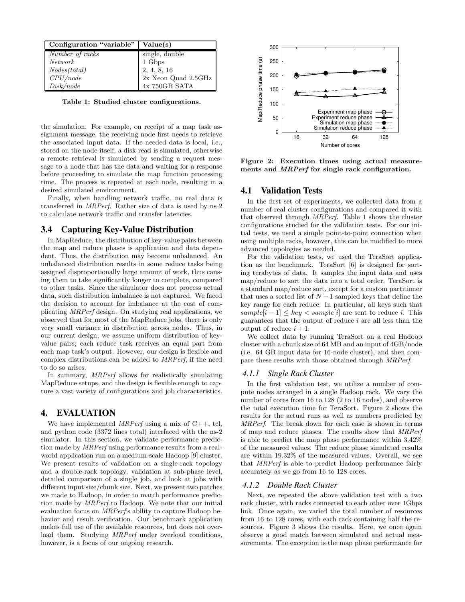| Configuration "variable"   Value(s)          |                     |
|----------------------------------------------|---------------------|
| $\overline{\text{Number of} \; \text{ncks}}$ | single, double      |
| Network                                      | 1 Gbps              |
| Nodes(total)                                 | 2, 4, 8, 16         |
| CPU(node                                     | 2x Xeon Quad 2.5GHz |
| Disk/node                                    | 4x 750GB SATA       |

Table 1: Studied cluster configurations.

the simulation. For example, on receipt of a map task assignment message, the receiving node first needs to retrieve the associated input data. If the needed data is local, i.e., stored on the node itself, a disk read is simulated, otherwise a remote retrieval is simulated by sending a request message to a node that has the data and waiting for a response before proceeding to simulate the map function processing time. The process is repeated at each node, resulting in a desired simulated environment.

Finally, when handling network traffic, no real data is transferred in *MRPerf*. Rather size of data is used by ns-2 to calculate network traffic and transfer latencies.

## **3.4 Capturing Key-Value Distribution**

In MapReduce, the distribution of key-value pairs between the map and reduce phases is application and data dependent. Thus, the distribution may become unbalanced. An unbalanced distribution results in some reduce tasks being assigned disproportionally large amount of work, thus causing them to take significantly longer to complete, compared to other tasks. Since the simulator does not process actual data, such distribution imbalance is not captured. We faced the decision to account for imbalance at the cost of complicating *MRPerf* design. On studying real applications, we observed that for most of the MapReduce jobs, there is only very small variance in distribution across nodes. Thus, in our current design, we assume uniform distribution of keyvalue pairs; each reduce task receives an equal part from each map task's output. However, our design is flexible and complex distributions can be added to *MRPerf*, if the need to do so arises.

In summary, *MRPerf* allows for realistically simulating MapReduce setups, and the design is flexible enough to capture a vast variety of configurations and job characteristics.

# **4. EVALUATION**

We have implemented *MRPerf* using a mix of C++, tcl, and python code (3372 lines total) interfaced with the ns-2 simulator. In this section, we validate performance prediction made by *MRPerf* using performance results from a realworld application run on a medium-scale Hadoop [9] cluster. We present results of validation on a single-rack topology and a double-rack topology, validation at sub-phase level, detailed comparison of a single job, and look at jobs with different input size/chunk size. Next, we present two patches we made to Hadoop, in order to match performance prediction made by *MRPerf* to Hadoop. We note that our initial evaluation focus on *MRPerf*'s ability to capture Hadoop behavior and result verification. Our benchmark application makes full use of the available resources, but does not overload them. Studying *MRPerf* under overload conditions, however, is a focus of our ongoing research.



Figure 2: Execution times using actual measurements and MRPerf for single rack configuration.

## **4.1 Validation Tests**

In the first set of experiments, we collected data from a number of real cluster configurations and compared it with that observed through *MRPerf*. Table 1 shows the cluster configurations studied for the validation tests. For our initial tests, we used a simple point-to-point connection when using multiple racks, however, this can be modified to more advanced topologies as needed.

For the validation tests, we used the TeraSort application as the benchmark. TeraSort [6] is designed for sorting terabytes of data. It samples the input data and uses map/reduce to sort the data into a total order. TeraSort is a standard map/reduce sort, except for a custom partitioner that uses a sorted list of  $N-1$  sampled keys that define the key range for each reduce. In particular, all keys such that  $sample[i-1] \leq key < sample[i]$  are sent to reduce *i*. This guarantees that the output of reduce  $i$  are all less than the output of reduce  $i + 1$ .

We collect data by running TeraSort on a real Hadoop cluster with a chunk size of 64 MB and an input of 4GB/node (i.e. 64 GB input data for 16-node cluster), and then compare these results with those obtained through *MRPerf*.

#### *4.1.1 Single Rack Cluster*

In the first validation test, we utilize a number of compute nodes arranged in a single Hadoop rack. We vary the number of cores from 16 to 128 (2 to 16 nodes), and observe the total execution time for TeraSort. Figure 2 shows the results for the actual runs as well as numbers predicted by *MRPerf*. The break down for each case is shown in terms of map and reduce phases. The results show that *MRPerf* is able to predict the map phase performance within 3.42% of the measured values. The reduce phase simulated results are within 19.32% of the measured values. Overall, we see that *MRPerf* is able to predict Hadoop performance fairly accurately as we go from 16 to 128 cores.

#### *4.1.2 Double Rack Cluster*

Next, we repeated the above validation test with a two rack cluster, with racks connected to each other over 1Gbps link. Once again, we varied the total number of resources from 16 to 128 cores, with each rack containing half the resources. Figure 3 shows the results. Here, we once again observe a good match between simulated and actual measurements. The exception is the map phase performance for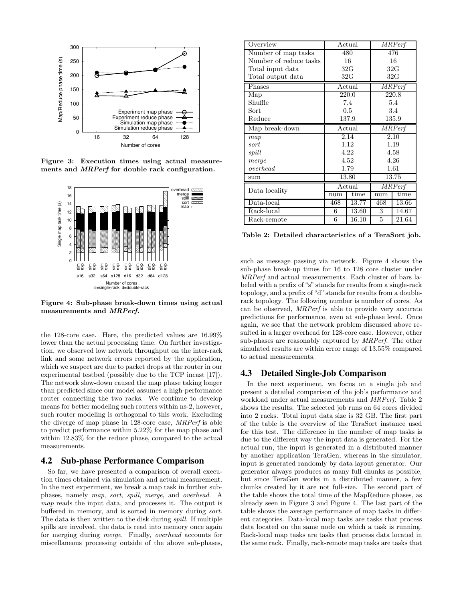

Figure 3: Execution times using actual measurements and MRPerf for double rack configuration.



Figure 4: Sub-phase break-down times using actual measurements and MRPerf.

the 128-core case. Here, the predicted values are 16.99% lower than the actual processing time. On further investigation, we observed low network throughput on the inter-rack link and some network errors reported by the application, which we suspect are due to packet drops at the router in our experimental testbed (possibly due to the TCP incast [17]). The network slow-down caused the map phase taking longer than predicted since our model assumes a high-performance router connecting the two racks. We continue to develop means for better modeling such routers within ns-2, however, such router modeling is orthogonal to this work. Excluding the diverge of map phase in 128-core case, *MRPerf* is able to predict performance within 5.22% for the map phase and within 12.83% for the reduce phase, compared to the actual measurements.

#### **4.2 Sub-phase Performance Comparison**

So far, we have presented a comparison of overall execution times obtained via simulation and actual measurement. In the next experiment, we break a map task in further subphases, namely *map*, *sort*, *spill*, *merge*, and *overhead*. A *map* reads the input data, and processes it. The output is buffered in memory, and is sorted in memory during *sort*. The data is then written to the disk during *spill*. If multiple spills are involved, the data is read into memory once again for merging during *merge*. Finally, *overhead* accounts for miscellaneous processing outside of the above sub-phases,

| Overview               | Actual |       | <b>MRPerf</b> |       |
|------------------------|--------|-------|---------------|-------|
| Number of map tasks    | 480    |       | 476           |       |
| Number of reduce tasks | 16     |       | 16            |       |
| Total input data       | 32G    |       | 32G           |       |
| Total output data      | 32G    |       | 32G           |       |
| Phases                 | Actual |       | <b>MRPerf</b> |       |
| Map                    | 220.0  |       | 220.8         |       |
| Shuffle                | 7.4    |       | 5.4           |       |
| Sort                   | 0.5    |       | 3.4           |       |
| Reduce                 | 137.9  |       | 135.9         |       |
| Map break-down         | Actual |       | <b>MRPerf</b> |       |
| map                    | 2.14   |       | 2.10          |       |
| sort                   | 1.12   |       | 1.19          |       |
| spill                  | 4.22   |       | 4.58          |       |
| merge                  | 4.52   |       | 4.26          |       |
| overhead               | 1.79   |       | 1.61          |       |
| sum                    | 13.80  |       | 13.75         |       |
| Data locality          | Actual |       | <b>MRPerf</b> |       |
|                        | num    | time  | num           | time  |
| Data-local             | 468    | 13.77 | 468           | 13.66 |
| Rack-local             | 6      | 13.60 | 3             | 14.67 |
| Rack-remote            | 6      | 16.10 | 5             | 21.64 |

Table 2: Detailed characteristics of a TeraSort job.

such as message passing via network. Figure 4 shows the sub-phase break-up times for 16 to 128 core cluster under *MRPerf* and actual measurements. Each cluster of bars labeled with a prefix of "s" stands for results from a single-rack topology, and a prefix of "d" stands for results from a doublerack topology. The following number is number of cores. As can be observed, *MRPerf* is able to provide very accurate predictions for performance, even at sub-phase level. Once again, we see that the network problem discussed above resulted in a larger overhead for 128-core case. However, other sub-phases are reasonably captured by *MRPerf*. The other simulated results are within error range of 13.55% compared to actual measurements.

## **4.3 Detailed Single-Job Comparison**

In the next experiment, we focus on a single job and present a detailed comparison of the job's performance and workload under actual measurements and *MRPerf*. Table 2 shows the results. The selected job runs on 64 cores divided into 2 racks. Total input data size is 32 GB. The first part of the table is the overview of the TeraSort instance used for this test. The difference in the number of map tasks is due to the different way the input data is generated. For the actual run, the input is generated in a distributed manner by another application TeraGen, whereas in the simulator, input is generated randomly by data layout generator. Our generator always produces as many full chunks as possible, but since TeraGen works in a distributed manner, a few chunks created by it are not full-size. The second part of the table shows the total time of the MapReduce phases, as already seen in Figure 3 and Figure 4. The last part of the table shows the average performance of map tasks in different categories. Data-local map tasks are tasks that process data located on the same node on which a task is running. Rack-local map tasks are tasks that process data located in the same rack. Finally, rack-remote map tasks are tasks that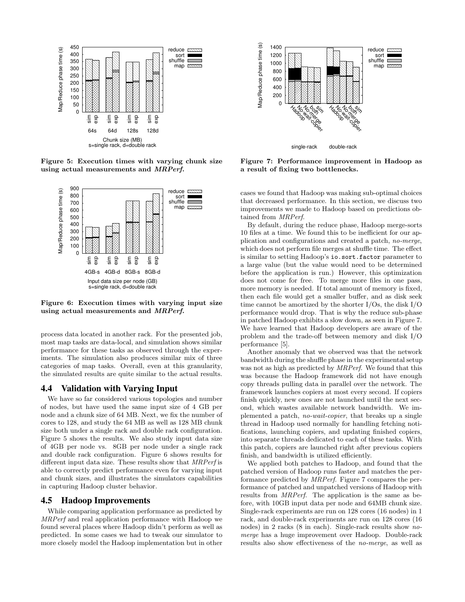

Figure 5: Execution times with varying chunk size using actual measurements and MRPerf.



Figure 6: Execution times with varying input size using actual measurements and MRPerf.

process data located in another rack. For the presented job, most map tasks are data-local, and simulation shows similar performance for these tasks as observed through the experiments. The simulation also produces similar mix of three categories of map tasks. Overall, even at this granularity, the simulated results are quite similar to the actual results.

# **4.4 Validation with Varying Input**

We have so far considered various topologies and number of nodes, but have used the same input size of 4 GB per node and a chunk size of 64 MB. Next, we fix the number of cores to 128, and study the 64 MB as well as 128 MB chunk size both under a single rack and double rack configuration. Figure 5 shows the results. We also study input data size of 4GB per node vs. 8GB per node under a single rack and double rack configuration. Figure 6 shows results for different input data size. These results show that *MRPerf* is able to correctly predict performance even for varying input and chunk sizes, and illustrates the simulators capabilities in capturing Hadoop cluster behavior.

#### **4.5 Hadoop Improvements**

While comparing application performance as predicted by *MRPerf* and real application performance with Hadoop we found several places where Hadoop didn't perform as well as predicted. In some cases we had to tweak our simulator to more closely model the Hadoop implementation but in other



Figure 7: Performance improvement in Hadoop as a result of fixing two bottlenecks.

cases we found that Hadoop was making sub-optimal choices that decreased performance. In this section, we discuss two improvements we made to Hadoop based on predictions obtained from *MRPerf*.

By default, during the reduce phase, Hadoop merge-sorts 10 files at a time. We found this to be inefficient for our application and configurations and created a patch, *no-merge*, which does not perform file merges at shuffle time. The effect is similar to setting Hadoop's io.sort.factor parameter to a large value (but the value would need to be determined before the application is run.) However, this optimization does not come for free. To merge more files in one pass, more memory is needed. If total amount of memory is fixed, then each file would get a smaller buffer, and as disk seek time cannot be amortized by the shorter I/Os, the disk I/O performance would drop. That is why the reduce sub-phase in patched Hadoop exhibits a slow down, as seen in Figure 7. We have learned that Hadoop developers are aware of the problem and the trade-off between memory and disk I/O performance [5].

Another anomaly that we observed was that the network bandwidth during the shuffle phase in the experimental setup was not as high as predicted by *MRPerf*. We found that this was because the Hadoop framework did not have enough copy threads pulling data in parallel over the network. The framework launches copiers at most every second. If copiers finish quickly, new ones are not launched until the next second, which wastes available network bandwidth. We implemented a patch, *no-wait-copier*, that breaks up a single thread in Hadoop used normally for handling fetching notifications, launching copiers, and updating finished copiers, into separate threads dedicated to each of these tasks. With this patch, copiers are launched right after previous copiers finish, and bandwidth is utilized efficiently.

We applied both patches to Hadoop, and found that the patched version of Hadoop runs faster and matches the performance predicted by *MRPerf*. Figure 7 compares the performance of patched and unpatched versions of Hadoop with results from *MRPerf*. The application is the same as before, with 10GB input data per node and 64MB chunk size. Single-rack experiments are run on 128 cores (16 nodes) in 1 rack, and double-rack experiments are run on 128 cores (16 nodes) in 2 racks (8 in each). Single-rack results show *nomerge* has a huge improvement over Hadoop. Double-rack results also show effectiveness of the *no-merge*, as well as